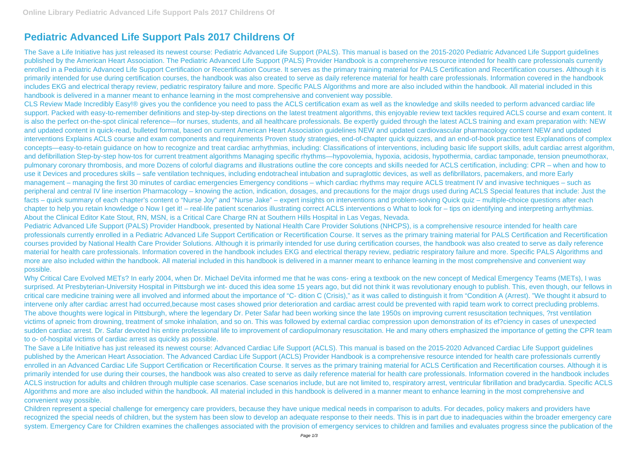## **Pediatric Advanced Life Support Pals 2017 Childrens Of**

The Save a Life Initiative has just released its newest course: Pediatric Advanced Life Support (PALS). This manual is based on the 2015-2020 Pediatric Advanced Life Support guidelines published by the American Heart Association. The Pediatric Advanced Life Support (PALS) Provider Handbook is a comprehensive resource intended for health care professionals currently enrolled in a Pediatric Advanced Life Support Certification or Recertification Course. It serves as the primary training material for PALS Certification and Recertification courses. Although it is primarily intended for use during certification courses, the handbook was also created to serve as daily reference material for health care professionals. Information covered in the handbook includes EKG and electrical therapy review, pediatric respiratory failure and more. Specific PALS Algorithms and more are also included within the handbook. All material included in this handbook is delivered in a manner meant to enhance learning in the most comprehensive and convenient way possible.

CLS Review Made Incredibly Easy!® gives you the confidence you need to pass the ACLS certification exam as well as the knowledge and skills needed to perform advanced cardiac life support. Packed with easy-to-remember definitions and step-by-step directions on the latest treatment algorithms, this enjoyable review text tackles required ACLS course and exam content. It is also the perfect on-the-spot clinical reference—for nurses, students, and all healthcare professionals. Be expertly guided through the latest ACLS training and exam preparation with: NEW and updated content in quick-read, bulleted format, based on current American Heart Association guidelines NEW and updated cardiovascular pharmacology content NEW and updated interventions Explains ACLS course and exam components and requirements Proven study strategies, end-of-chapter quick quizzes, and an end-of-book practice test Explanations of complex concepts—easy-to-retain guidance on how to recognize and treat cardiac arrhythmias, including: Classifications of interventions, including basic life support skills, adult cardiac arrest algorithm, and defibrillation Step-by-step how-tos for current treatment algorithms Managing specific rhythms—hypovolemia, hypoxia, acidosis, hypothermia, cardiac tamponade, tension pneumothorax, pulmonary coronary thrombosis, and more Dozens of colorful diagrams and illustrations outline the core concepts and skills needed for ACLS certification, including: CPR – when and how to use it Devices and procedures skills – safe ventilation techniques, including endotracheal intubation and supraglottic devices, as well as defibrillators, pacemakers, and more Early management – managing the first 30 minutes of cardiac emergencies Emergency conditions – which cardiac rhythms may require ACLS treatment IV and invasive techniques – such as peripheral and central IV line insertion Pharmacology – knowing the action, indication, dosages, and precautions for the major drugs used during ACLS Special features that include: Just the facts – quick summary of each chapter's content o "Nurse Joy" and "Nurse Jake" – expert insights on interventions and problem-solving Quick quiz – multiple-choice questions after each chapter to help you retain knowledge o Now I get it! – real-life patient scenarios illustrating correct ACLS interventions o What to look for – tips on identifying and interpreting arrhythmias. About the Clinical Editor Kate Stout, RN, MSN, is a Critical Care Charge RN at Southern Hills Hospital in Las Vegas, Nevada.

Children represent a special challenge for emergency care providers, because they have unique medical needs in comparison to adults. For decades, policy makers and providers have recognized the special needs of children, but the system has been slow to develop an adequate response to their needs. This is in part due to inadequacies within the broader emergency care system. Emergency Care for Children examines the challenges associated with the provision of emergency services to children and families and evaluates progress since the publication of the

Pediatric Advanced Life Support (PALS) Provider Handbook, presented by National Health Care Provider Solutions (NHCPS), is a comprehensive resource intended for health care professionals currently enrolled in a Pediatric Advanced Life Support Certification or Recertification Course. It serves as the primary training material for PALS Certification and Recertification courses provided by National Health Care Provider Solutions. Although it is primarily intended for use during certification courses, the handbook was also created to serve as daily reference material for health care professionals. Information covered in the handbook includes EKG and electrical therapy review, pediatric respiratory failure and more. Specific PALS Algorithms and more are also included within the handbook. All material included in this handbook is delivered in a manner meant to enhance learning in the most comprehensive and convenient way possible.

Why Critical Care Evolved METs? In early 2004, when Dr. Michael DeVita informed me that he was cons- ering a textbook on the new concept of Medical Emergency Teams (METs), I was surprised. At Presbyterian-University Hospital in Pittsburgh we int- duced this idea some 15 years ago, but did not think it was revolutionary enough to publish. This, even though, our fellows in critical care medicine training were all involved and informed about the importance of "C- dition C (Crisis)," as it was called to distinguish it from "Condition A (Arrest). "We thought it absurd to intervene only after cardiac arrest had occurred,because most cases showed prior deterioration and cardiac arrest could be prevented with rapid team work to correct precluding problems. The above thoughts were logical in Pittsburgh, where the legendary Dr. Peter Safar had been working since the late 1950s on improving current resuscitation techniques, ?rst ventilation victims of apneic from drowning, treatment of smoke inhalation, and so on. This was followed by external cardiac compression upon demonstration of its ef?ciency in cases of unexpected sudden cardiac arrest. Dr. Safar devoted his entire professional life to improvement of cardiopulmonary resuscitation. He and many others emphasized the importance of getting the CPR team to o- of-hospital victims of cardiac arrest as quickly as possible.

The Save a Life Initiative has just released its newest course: Advanced Cardiac Life Support (ACLS). This manual is based on the 2015-2020 Advanced Cardiac Life Support guidelines published by the American Heart Association. The Advanced Cardiac Life Support (ACLS) Provider Handbook is a comprehensive resource intended for health care professionals currently enrolled in an Advanced Cardiac Life Support Certification or Recertification Course. It serves as the primary training material for ACLS Certification and Recertification courses. Although it is primarily intended for use during their courses, the handbook was also created to serve as daily reference material for health care professionals. Information covered in the handbook includes ACLS instruction for adults and children through multiple case scenarios. Case scenarios include, but are not limited to, respiratory arrest, ventricular fibrillation and bradycardia. Specific ACLS Algorithms and more are also included within the handbook. All material included in this handbook is delivered in a manner meant to enhance learning in the most comprehensive and convenient way possible.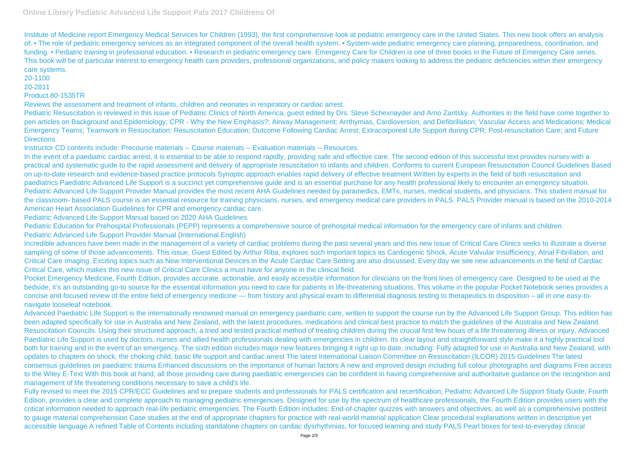Institute of Medicine report Emergency Medical Services for Children (1993), the first comprehensive look at pediatric emergency care in the United States. This new book offers an analysis of: • The role of pediatric emergency services as an integrated component of the overall health system. • System-wide pediatric emergency care planning, preparedness, coordination, and funding. • Pediatric training in professional education. • Research in pediatric emergency care. Emergency Care for Children is one of three books in the Future of Emergency Care series. This book will be of particular interest to emergency health care providers, professional organizations, and policy makers looking to address the pediatric deficiencies within their emergency care systems.

Pediatric Resuscitation is reviewed in this issue of Pediatric Clinics of North America, guest edited by Drs. Steve Schexnayder and Arno Zaritsky. Authorities in the field have come together to pen articles on Background and Epidemiology; CPR - Why the New Emphasis?; Airway Management; Arrthymias, Cardioversion, and Defibrillation; Vascular Access and Medications; Medical Emergency Teams; Teamwork in Resuscitation; Resuscitation Education; Outcome Following Cardiac Arrest; Extracorporeal Life Support during CPR; Post-resuscitation Care; and Future Directions.

## 20-1100

20-2811

## Product 80-1535TR

Reviews the assessment and treatment of infants, children and neonates in respiratory or cardiac arrest.

Instructor CD contents include: Precourse materials -- Course materials -- Evaluation materials -- Resources.

Pocket Emergency Medicine, Fourth Edition, provides accurate, actionable, and easily accessible information for clinicians on the front lines of emergency care. Designed to be used at the bedside, it's an outstanding go-to source for the essential information you need to care for patients in life-threatening situations. This volume in the popular Pocket Notebook series provides a concise and focused review of the entire field of emergency medicine — from history and physical exam to differential diagnosis testing to therapeutics to disposition – all in one easy-tonavigate looseleaf notebook.

In the event of a paediatric cardiac arrest, it is essential to be able to respond rapidly, providing safe and effective care. The second edition of this successful text provides nurses with a practical and systematic guide to the rapid assessment and delivery of appropriate resuscitation to infants and children. Conforms to current European Resuscitation Council Guidelines Based on up-to-date research and evidence-based practice protocols Synoptic approach enables rapid delivery of effective treatment Written by experts in the field of both resuscitation and paediatrics Paediatric Advanced Life Support is a succinct yet comprehensive guide and is an essential purchase for any health professional likely to encounter an emergency situation. Pediatric Advanced Life Support Provider Manual provides the most recent AHA Guidelines needed by paramedics, EMTs, nurses, medical students, and physicians. This student manual for the classroom- based PALS course is an essential resource for training physicians, nurses, and emergency medical care providers in PALS. PALS Provider manual is based on the 2010-2014 American Heart Association Guidelines for CPR and emergency cardiac care.

Pediatric Advanced Life Support Manual based on 2020 AHA Guidelines

Advanced Paediatric Life Support is the internationally renowned manual on emergency paediatric care, written to support the course run by the Advanced Life Support Group. This edition has been adapted specifically for use in Australia and New Zealand, with the latest procedures, medications and clinical best practice to match the guidelines of the Australia and New Zealand Resuscitation Councils. Using their structured approach, a tried and tested practical method of treating children during the crucial first few hours of a life threatening illness or injury, Advanced Paediatric Life Support is used by doctors, nurses and allied health professionals dealing with emergencies in children. Its clear layout and straightforward style make it a highly practical tool both for training and in the event of an emergency. The sixth edition includes major new features bringing it right up to date, including: Fully adapted for use in Australia and New Zealand, with updates to chapters on shock, the choking child, basic life support and cardiac arrest The latest International Liaison Committee on Resuscitation (ILCOR) 2015 Guidelines The latest consensus guidelines on paediatric trauma Enhanced discussions on the importance of human factors A new and improved design including full colour photographs and diagrams Free access to the Wiley E-Text With this book at hand, all those providing care during paediatric emergencies can be confident in having comprehensive and authoritative guidance on the recognition and management of life threatening conditions necessary to save a child's life.

Pediatric Education for Prehospital Professionals (PEPP) represents a comprehensive source of prehospital medical information for the emergency care of infants and children. Pediatric Advanced Life Support Provider Manual (International English)

Fully revised to meet the 2015 CPR/ECC Guidelines and to prepare students and professionals for PALS certification and recertification. Pediatric Advanced Life Support Study Guide, Fourth Edition, provides a clear and complete approach to managing pediatric emergencies. Designed for use by the spectrum of healthcare professionals, the Fourth Edition provides users with the critical information needed to approach real-life pediatric emergencies. The Fourth Edition includes: End-of-chapter quizzes with answers and objectives, as well as a comprehensive posttest to gauge material comprehension Case studies at the end of appropriate chapters for practice with real-world material application Clear procedural explanations written in descriptive yet accessible language A refined Table of Contents including standalone chapters on cardiac dysrhythmias, for focused learning and study PALS Pearl boxes for text-to-everyday clinical

Incredible advances have been made in the management of a variety of cardiac problems during the past several years and this new issue of Critical Care Clinics seeks to illustrate a diverse sampling of some of those advancements. This issue, Guest Edited by Arthur Riba, explores such important topics as Cardiogenic Shock, Acute Valvular Insufficiency, Atrial Fibrillation, and Critical Care Imaging. Exciting topics such as New Interventional Devices in the Acute Cardiac Care Setting are also discussed. Every day we see new advancements in the field of Cardiac Critical Care, which makes this new issue of Critical Care Clinics a must have for anyone in the clinical field.